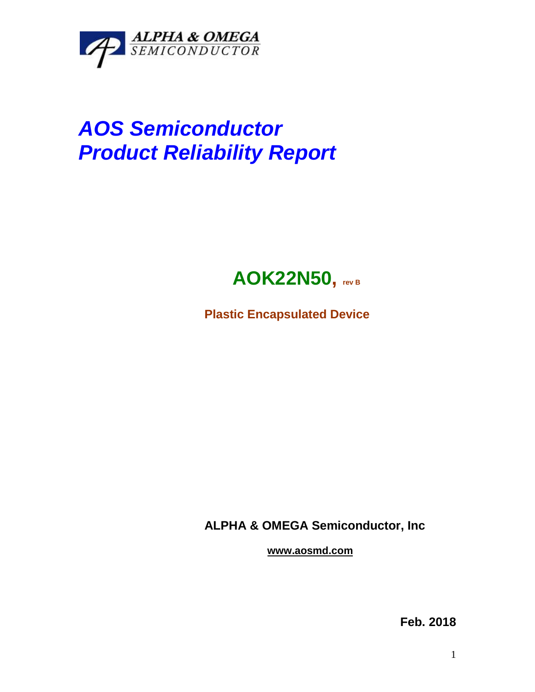

## *AOS Semiconductor Product Reliability Report*



**Plastic Encapsulated Device**

**ALPHA & OMEGA Semiconductor, Inc**

**www.aosmd.com**

**Feb. 2018**